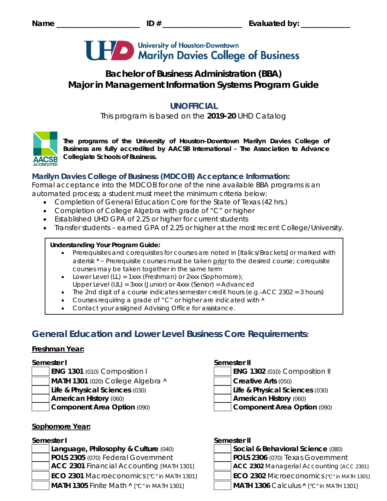

# **Bachelor of Business Administration (BBA) Major in Management Information Systems Program Guide**

# **UNOFFICIAL**

This program is based on the **2019-20** UHD Catalog



*The programs of the University of Houston-Downtown Marilyn Davies College of Business are fully accredited by AACSB International - The Association to Advance Collegiate Schools of Business.*

## **Marilyn Davies College of Business (MDCOB) Acceptance Information:**

Formal acceptance into the MDCOB for one of the nine available BBA programs is an automated process; a student must meet the minimum criteria below:

- Completion of General Education Core for the State of Texas (42 hrs.)
- Completion of College Algebra with grade of "C" or higher
- Established UHD GPA of 2.25 or higher for current students
- Transfer students earned GPA of 2.25 or higher at the most recent College/University.

#### **Understanding Your Program Guide:**

- Prerequisites and corequisites for courses are noted in *[Italics/Brackets]* or marked with asterisk \* – Prerequisite courses must be taken prior to the desired course; corequisite courses may be taken together in the same term
- Lower Level (LL) = 1xxx (Freshman) or 2xxx (Sophomore);
- Upper Level (UL) = 3xxx (Junior) or 4xxx (Senior) = Advanced
- The 2nd digit of a course indicates semester credit hours (e.g.-ACC 2302 = 3 hours)
- Courses requiring a grade of "C" or higher are indicated with  $\land$
- Contact your assigned Advising Office for assistance.

# **General Education and Lower Level Business Core Requirements:**

# **Freshman Year:**

- 
- **MATH 1301** (020) College Algebra **˄ Creative Arts** (050)
	- **Life & Physical Sciences** (030) **Life & Physical Sciences** (030)
	- **American History** (060) **American History** (060)
- 

# **Sophomore Year:**

**Language, Philosophy & Culture (040) POLS 2305** (070) Federal Government **POLS 2306** (070) Texas Government **ACC 2301** Financial Accounting *[MATH 1301]* **ACC 2302** Managerial Accounting *[ACC 2301]* **ECO 2301** Macroeconomics *["C" in MATH 1301]* **ECO 2302** Microeconomics *["C" in MATH 1301]* **MATH 1305** Finite Math **˄** *["C" in MATH 1301]* **MATH 1306** Calculus **˄** *["C" in MATH 1301]*

#### **Semester I Semester II**

**Component Area Option** (090) **Component Area Option** (090)

## **Semester I Semester II**

| Social & Behavioral Science (080) |
|-----------------------------------|
| $\overline{R}$                    |

- 
- 
- 
-